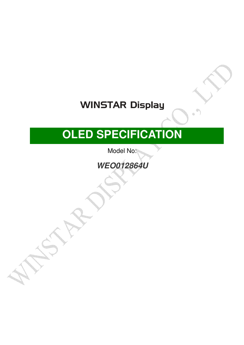## **WINSTAR Display**

# **OLED SPECIFICATION**

Model No:

**WEO012864U**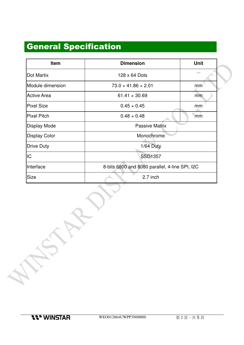### General Specification

| Item                 | <b>Dimension</b>                               | <b>Unit</b> |  |  |  |
|----------------------|------------------------------------------------|-------------|--|--|--|
| Dot Martix           | 128 x 64 Dots                                  |             |  |  |  |
| Module dimension     | $73.0 \times 41.86 \times 2.01$                | mm          |  |  |  |
| <b>Active Area</b>   | $61.41 \times 30.69$                           | mm          |  |  |  |
| <b>Pixel Size</b>    | $0.45 \times 0.45$                             | mm          |  |  |  |
| <b>Pixel Pitch</b>   | $0.48 \times 0.48$                             | mm          |  |  |  |
| <b>Display Mode</b>  | <b>Passive Matrix</b>                          |             |  |  |  |
| <b>Display Color</b> | Monochrome                                     |             |  |  |  |
| <b>Drive Duty</b>    | $1/64$ Duty                                    |             |  |  |  |
| IC                   | <b>SSD1357</b>                                 |             |  |  |  |
| Interface            | 8-bits 6800 and 8080 parallel, 4-line SPI, I2C |             |  |  |  |
| Size                 | 2.7 inch                                       |             |  |  |  |

**11" WINSTAR** 

<u> Timba</u>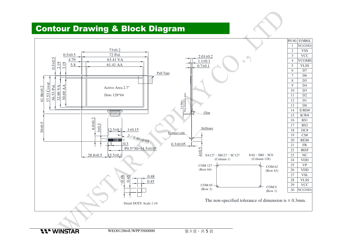#### Contour Drawing & Block Diagram

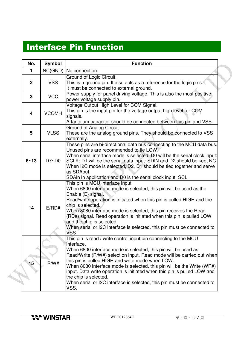### Interface Pin Function

| No.                     | <b>Symbol</b> | <b>Function</b>                                                                                                                                                                                                                                                                                                                                                                                                                                                                                                                                  |  |  |  |
|-------------------------|---------------|--------------------------------------------------------------------------------------------------------------------------------------------------------------------------------------------------------------------------------------------------------------------------------------------------------------------------------------------------------------------------------------------------------------------------------------------------------------------------------------------------------------------------------------------------|--|--|--|
| 1                       |               | NC(GND)   No connection.                                                                                                                                                                                                                                                                                                                                                                                                                                                                                                                         |  |  |  |
| $\mathbf{2}$            | <b>VSS</b>    | Ground of Logic Circuit.<br>This is a ground pin. It also acts as a reference for the logic pins.<br>It must be connected to external ground.                                                                                                                                                                                                                                                                                                                                                                                                    |  |  |  |
| 3                       | <b>VCC</b>    | Power supply for panel driving voltage. This is also the most positive<br>power voltage supply pin.                                                                                                                                                                                                                                                                                                                                                                                                                                              |  |  |  |
| $\overline{\mathbf{4}}$ | <b>VCOMH</b>  | Voltage Output High Level for COM Signal.<br>This pin is the input pin for the voltage output high level for COM<br>signals.<br>A tantalum capacitor should be connected between this pin and VSS.                                                                                                                                                                                                                                                                                                                                               |  |  |  |
| 5                       | <b>VLSS</b>   | <b>Ground of Analog Circuit</b><br>These are the analog ground pins. They should be connected to VSS<br>externally.                                                                                                                                                                                                                                                                                                                                                                                                                              |  |  |  |
| $6 - 13$                | D7~D0         | These pins are bi-directional data bus connecting to the MCU data bus.<br>Unused pins are recommended to tie LOW.<br>When serial interface mode is selected, D0 will be the serial clock input:<br>SCLK; D1 will be the serial data input: SDIN and D2 should be kept NC.<br>When I2C mode is selected, D2, D1 should be tied together and serve<br>as SDAout,<br>SDAin in application and D0 is the serial clock input, SCL.                                                                                                                    |  |  |  |
| 14                      | E/RD#         | This pin is MCU interface input.<br>When 6800 interface mode is selected, this pin will be used as the<br>Enable (E) signal.<br>Read/write operation is initiated when this pin is pulled HIGH and the<br>chip is selected.<br>When 8080 interface mode is selected, this pin receives the Read<br>(RD#) signal. Read operation is initiated when this pin is pulled LOW<br>and the chip is selected.<br>When serial or I2C interface is selected, this pin must be connected to<br>VSS.                                                         |  |  |  |
| 15                      | R/W#          | This pin is read / write control input pin connecting to the MCU<br>linterface.<br>When 6800 interface mode is selected, this pin will be used as<br>Read/Write (R/W#) selection input. Read mode will be carried out when<br>this pin is pulled HIGH and write mode when LOW.<br>When 8080 interface mode is selected, this pin will be the Write (WR#)<br>input. Data write operation is initiated when this pin is pulled LOW and<br>the chip is selected.<br>When serial or I2C interface is selected, this pin must be connected to<br>VSS. |  |  |  |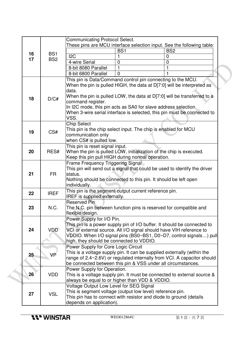|                                                                                                                                                                                                                                                                                                                                                                                                           |                                                                                   |                 | <b>Communicating Protocol Select.</b>                                                                                                                                                                                                                                                         |                 |                 |  |  |  |
|-----------------------------------------------------------------------------------------------------------------------------------------------------------------------------------------------------------------------------------------------------------------------------------------------------------------------------------------------------------------------------------------------------------|-----------------------------------------------------------------------------------|-----------------|-----------------------------------------------------------------------------------------------------------------------------------------------------------------------------------------------------------------------------------------------------------------------------------------------|-----------------|-----------------|--|--|--|
|                                                                                                                                                                                                                                                                                                                                                                                                           |                                                                                   |                 | These pins are MCU interface selection input. See the following table:                                                                                                                                                                                                                        |                 |                 |  |  |  |
|                                                                                                                                                                                                                                                                                                                                                                                                           | 16                                                                                | BS <sub>1</sub> |                                                                                                                                                                                                                                                                                               | BS <sub>1</sub> | BS <sub>2</sub> |  |  |  |
|                                                                                                                                                                                                                                                                                                                                                                                                           | 17                                                                                | BS <sub>2</sub> | 12C                                                                                                                                                                                                                                                                                           |                 | $\mathbf 0$     |  |  |  |
|                                                                                                                                                                                                                                                                                                                                                                                                           |                                                                                   |                 | 4-wire Serial                                                                                                                                                                                                                                                                                 | 0               | $\mathbf 0$     |  |  |  |
|                                                                                                                                                                                                                                                                                                                                                                                                           |                                                                                   |                 | 8-bit 8080 Parallel                                                                                                                                                                                                                                                                           |                 | 1               |  |  |  |
|                                                                                                                                                                                                                                                                                                                                                                                                           |                                                                                   |                 | 8-bit 6800 Parallel                                                                                                                                                                                                                                                                           | $\Omega$        |                 |  |  |  |
| This pin is Data/Command control pin connecting to the MCU.<br>When the pin is pulled HIGH, the data at D[7:0] will be interpreted as<br>data.<br>When the pin is pulled LOW, the data at D[7:0] will be transferred to a<br>18<br>D/C#<br>command register.<br>In I2C mode, this pin acts as SA0 for slave address selection.<br>When 3-wire serial interface is selected, this pin must be connected to |                                                                                   |                 |                                                                                                                                                                                                                                                                                               |                 |                 |  |  |  |
|                                                                                                                                                                                                                                                                                                                                                                                                           |                                                                                   |                 | VSS.                                                                                                                                                                                                                                                                                          |                 |                 |  |  |  |
|                                                                                                                                                                                                                                                                                                                                                                                                           | 19                                                                                | CS#             | <b>Chip Select</b><br>This pin is the chip select input. The chip is enabled for MCU<br>communication only<br>when CS# is pulled low.                                                                                                                                                         |                 |                 |  |  |  |
|                                                                                                                                                                                                                                                                                                                                                                                                           |                                                                                   |                 | This pin is reset signal input.                                                                                                                                                                                                                                                               |                 |                 |  |  |  |
|                                                                                                                                                                                                                                                                                                                                                                                                           | When the pin is pulled LOW, initialization of the chip is executed.<br>20<br>RES# |                 |                                                                                                                                                                                                                                                                                               |                 |                 |  |  |  |
|                                                                                                                                                                                                                                                                                                                                                                                                           |                                                                                   |                 | Keep this pin pull HIGH during normal operation.                                                                                                                                                                                                                                              |                 |                 |  |  |  |
|                                                                                                                                                                                                                                                                                                                                                                                                           | 21                                                                                | <b>FR</b>       | Frame Frequency Triggering Signal<br>This pin will send out a signal that could be used to identify the driver<br>status.<br>Nothing should be connected to this pin. It should be left open<br>individually.                                                                                 |                 |                 |  |  |  |
|                                                                                                                                                                                                                                                                                                                                                                                                           | 22                                                                                | <b>IREF</b>     | This pin is the segment output current reference pin.<br>IREF is supplied externally.                                                                                                                                                                                                         |                 |                 |  |  |  |
|                                                                                                                                                                                                                                                                                                                                                                                                           | 23                                                                                | N.C.            | <b>Reserved Pin</b><br>The N.C. pin between function pins is reserved for compatible and<br>flexible design.                                                                                                                                                                                  |                 |                 |  |  |  |
|                                                                                                                                                                                                                                                                                                                                                                                                           | 24                                                                                | <b>VDD</b>      | Power Supply for I/O Pin.<br>This pin is a power supply pin of I/O buffer. It should be connected to<br>VCI or external source. All I/O signal should have VIH reference to<br>VDDIO. When I/O signal pins (BS0~BS1, D0~D7, control signals) pull<br>high, they should be connected to VDDIO. |                 |                 |  |  |  |
|                                                                                                                                                                                                                                                                                                                                                                                                           | 25                                                                                | VP              | Power Supply for Core Logic Circuit<br>This is a voltage supply pin. It can be supplied externally (within the<br>range of 2.4~2.6V) or regulated internally from VCI. A capacitor should<br>be connected between this pin & VSS under all circumstances.                                     |                 |                 |  |  |  |
|                                                                                                                                                                                                                                                                                                                                                                                                           | 26 <sup>°</sup>                                                                   | <b>VDD</b>      | Power Supply for Operation.<br>This is a voltage supply pin. It must be connected to external source &<br>always be equal to or higher than VDD & VDDIO.                                                                                                                                      |                 |                 |  |  |  |
|                                                                                                                                                                                                                                                                                                                                                                                                           | 27                                                                                | <b>VSL</b>      | Voltage Output Low Level for SEG Signal<br>This is segment voltage (output low level) reference pin.<br>This pin has to connect with resistor and diode to ground (details<br>depends on application).                                                                                        |                 |                 |  |  |  |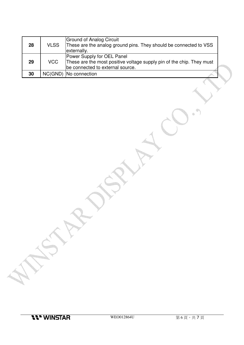| 28 | <b>VLSS</b> | Ground of Analog Circuit<br>These are the analog ground pins. They should be connected to VSS<br>externally.                            |  |
|----|-------------|-----------------------------------------------------------------------------------------------------------------------------------------|--|
| 29 | <b>VCC</b>  | Power Supply for OEL Panel<br>These are the most positive voltage supply pin of the chip. They must<br>be connected to external source. |  |
| 30 |             | NC(GND)   No connection                                                                                                                 |  |

<u>i i in</u>

4  $\oplus$